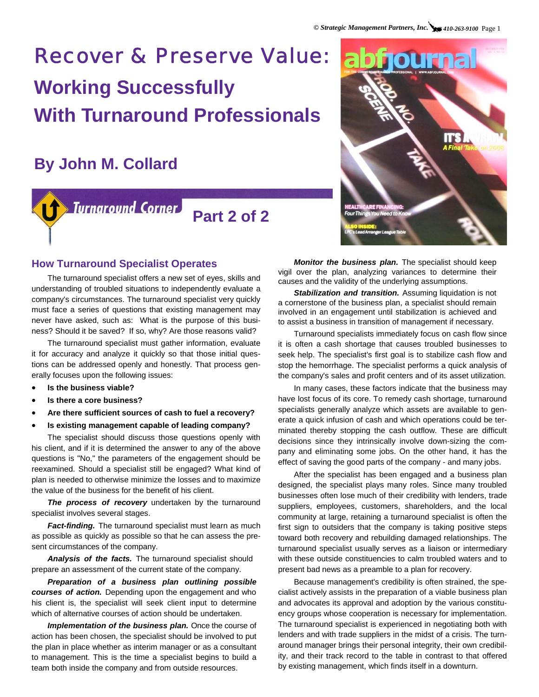# Recover & Preserve Value: **Working Successfully With Turnaround Professionals**

## **By John M. Collard**

## Turnaround Corner **Part 2 of 2**



#### **How Turnaround Specialist Operates**

The turnaround specialist offers a new set of eyes, skills and understanding of troubled situations to independently evaluate a company's circumstances. The turnaround specialist very quickly must face a series of questions that existing management may never have asked, such as: What is the purpose of this business? Should it be saved? If so, why? Are those reasons valid?

The turnaround specialist must gather information, evaluate it for accuracy and analyze it quickly so that those initial questions can be addressed openly and honestly. That process generally focuses upon the following issues:

- **Is the business viable?**
- **Is there a core business?**
- **Are there sufficient sources of cash to fuel a recovery?**
- **Is existing management capable of leading company?**

The specialist should discuss those questions openly with his client, and if it is determined the answer to any of the above questions is "No," the parameters of the engagement should be reexamined. Should a specialist still be engaged? What kind of plan is needed to otherwise minimize the losses and to maximize the value of the business for the benefit of his client.

*The process of recovery* undertaken by the turnaround specialist involves several stages.

*Fact-finding.* The turnaround specialist must learn as much as possible as quickly as possible so that he can assess the present circumstances of the company.

*Analysis of the facts.* The turnaround specialist should prepare an assessment of the current state of the company.

*Preparation of a business plan outlining possible courses of action.* Depending upon the engagement and who his client is, the specialist will seek client input to determine which of alternative courses of action should be undertaken.

**Implementation of the business plan.** Once the course of action has been chosen, the specialist should be involved to put the plan in place whether as interim manager or as a consultant to management. This is the time a specialist begins to build a team both inside the company and from outside resources.

*Monitor the business plan.* The specialist should keep vigil over the plan, analyzing variances to determine their causes and the validity of the underlying assumptions.

*Stabilization and transition.* Assuming liquidation is not a cornerstone of the business plan, a specialist should remain involved in an engagement until stabilization is achieved and to assist a business in transition of management if necessary.

Turnaround specialists immediately focus on cash flow since it is often a cash shortage that causes troubled businesses to seek help. The specialist's first goal is to stabilize cash flow and stop the hemorrhage. The specialist performs a quick analysis of the company's sales and profit centers and of its asset utilization.

In many cases, these factors indicate that the business may have lost focus of its core. To remedy cash shortage, turnaround specialists generally analyze which assets are available to generate a quick infusion of cash and which operations could be terminated thereby stopping the cash outflow. These are difficult decisions since they intrinsically involve down-sizing the company and eliminating some jobs. On the other hand, it has the effect of saving the good parts of the company - and many jobs.

After the specialist has been engaged and a business plan designed, the specialist plays many roles. Since many troubled businesses often lose much of their credibility with lenders, trade suppliers, employees, customers, shareholders, and the local community at large, retaining a turnaround specialist is often the first sign to outsiders that the company is taking positive steps toward both recovery and rebuilding damaged relationships. The turnaround specialist usually serves as a liaison or intermediary with these outside constituencies to calm troubled waters and to present bad news as a preamble to a plan for recovery.

Because management's credibility is often strained, the specialist actively assists in the preparation of a viable business plan and advocates its approval and adoption by the various constituency groups whose cooperation is necessary for implementation. The turnaround specialist is experienced in negotiating both with lenders and with trade suppliers in the midst of a crisis. The turnaround manager brings their personal integrity, their own credibility, and their track record to the table in contrast to that offered by existing management, which finds itself in a downturn.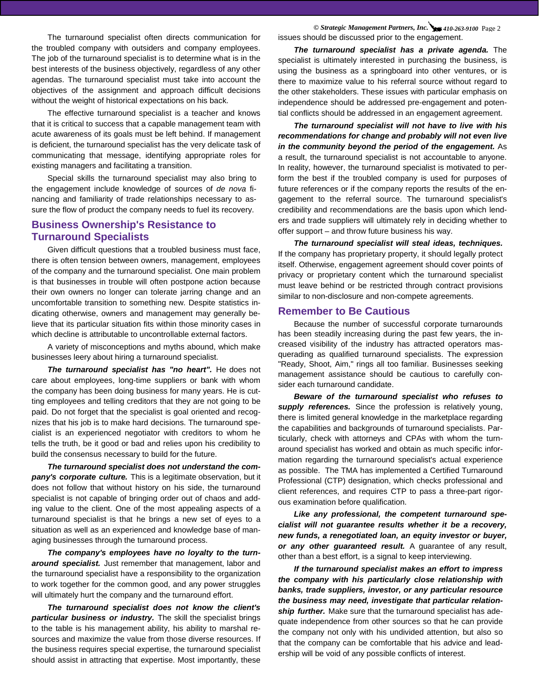The turnaround specialist often directs communication for the troubled company with outsiders and company employees. The job of the turnaround specialist is to determine what is in the best interests of the business objectively, regardless of any other agendas. The turnaround specialist must take into account the objectives of the assignment and approach difficult decisions without the weight of historical expectations on his back.

The effective turnaround specialist is a teacher and knows that it is critical to success that a capable management team with acute awareness of its goals must be left behind. If management is deficient, the turnaround specialist has the very delicate task of communicating that message, identifying appropriate roles for existing managers and facilitating a transition.

Special skills the turnaround specialist may also bring to the engagement include knowledge of sources of *de nova* financing and familiarity of trade relationships necessary to assure the flow of product the company needs to fuel its recovery.

#### **Business Ownership's Resistance to Turnaround Specialists**

Given difficult questions that a troubled business must face, there is often tension between owners, management, employees of the company and the turnaround specialist. One main problem is that businesses in trouble will often postpone action because their own owners no longer can tolerate jarring change and an uncomfortable transition to something new. Despite statistics indicating otherwise, owners and management may generally believe that its particular situation fits within those minority cases in which decline is attributable to uncontrollable external factors.

A variety of misconceptions and myths abound, which make businesses leery about hiring a turnaround specialist.

*The turnaround specialist has "no heart".* He does not care about employees, long-time suppliers or bank with whom the company has been doing business for many years. He is cutting employees and telling creditors that they are not going to be paid. Do not forget that the specialist is goal oriented and recognizes that his job is to make hard decisions. The turnaround specialist is an experienced negotiator with creditors to whom he tells the truth, be it good or bad and relies upon his credibility to build the consensus necessary to build for the future.

*The turnaround specialist does not understand the company's corporate culture.* This is a legitimate observation, but it does not follow that without history on his side, the turnaround specialist is not capable of bringing order out of chaos and adding value to the client. One of the most appealing aspects of a turnaround specialist is that he brings a new set of eyes to a situation as well as an experienced and knowledge base of managing businesses through the turnaround process.

*The company's employees have no loyalty to the turnaround specialist.* Just remember that management, labor and the turnaround specialist have a responsibility to the organization to work together for the common good, and any power struggles will ultimately hurt the company and the turnaround effort.

*The turnaround specialist does not know the client's particular business or industry.* The skill the specialist brings to the table is his management ability, his ability to marshal resources and maximize the value from those diverse resources. If the business requires special expertise, the turnaround specialist should assist in attracting that expertise. Most importantly, these

*© Strategic Management Partners, Inc. 410-263-9100* Page 2 issues should be discussed prior to the engagement.

*The turnaround specialist has a private agenda.* **The** specialist is ultimately interested in purchasing the business, is using the business as a springboard into other ventures, or is there to maximize value to his referral source without regard to the other stakeholders. These issues with particular emphasis on independence should be addressed pre-engagement and potential conflicts should be addressed in an engagement agreement.

*The turnaround specialist will not have to live with his recommendations for change and probably will not even live in the community beyond the period of the engagement.* As a result, the turnaround specialist is not accountable to anyone. In reality, however, the turnaround specialist is motivated to perform the best if the troubled company is used for purposes of future references or if the company reports the results of the engagement to the referral source. The turnaround specialist's credibility and recommendations are the basis upon which lenders and trade suppliers will ultimately rely in deciding whether to offer support – and throw future business his way.

*The turnaround specialist will steal ideas, techniques.*  If the company has proprietary property, it should legally protect itself. Otherwise, engagement agreement should cover points of privacy or proprietary content which the turnaround specialist must leave behind or be restricted through contract provisions similar to non-disclosure and non-compete agreements.

#### **Remember to Be Cautious**

Because the number of successful corporate turnarounds has been steadily increasing during the past few years, the increased visibility of the industry has attracted operators masquerading as qualified turnaround specialists. The expression "Ready, Shoot, Aim," rings all too familiar. Businesses seeking management assistance should be cautious to carefully consider each turnaround candidate.

*Beware of the turnaround specialist who refuses to*  supply references. Since the profession is relatively young, there is limited general knowledge in the marketplace regarding the capabilities and backgrounds of turnaround specialists. Particularly, check with attorneys and CPAs with whom the turnaround specialist has worked and obtain as much specific information regarding the turnaround specialist's actual experience as possible. The TMA has implemented a Certified Turnaround Professional (CTP) designation, which checks professional and client references, and requires CTP to pass a three-part rigorous examination before qualification.

*Like any professional, the competent turnaround specialist will not guarantee results whether it be a recovery, new funds, a renegotiated loan, an equity investor or buyer, or any other guaranteed result.* A guarantee of any result, other than a best effort, is a signal to keep interviewing.

*If the turnaround specialist makes an effort to impress the company with his particularly close relationship with banks, trade suppliers, investor, or any particular resource the business may need, investigate that particular relationship further.* Make sure that the turnaround specialist has adequate independence from other sources so that he can provide the company not only with his undivided attention, but also so that the company can be comfortable that his advice and leadership will be void of any possible conflicts of interest.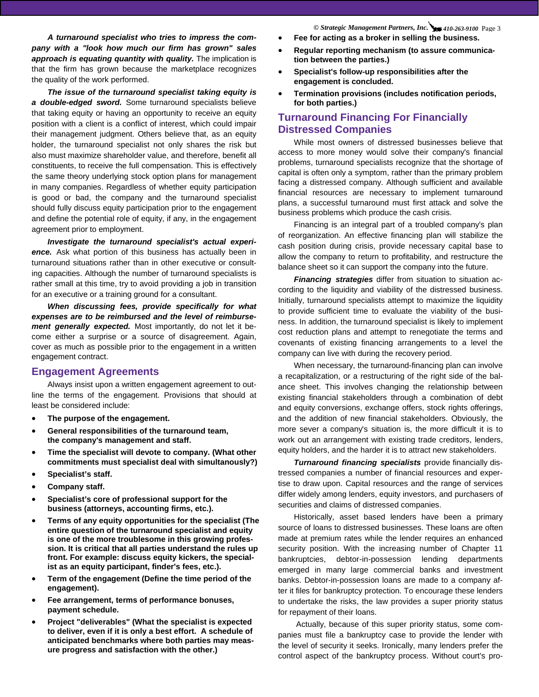*A turnaround specialist who tries to impress the company with a "look how much our firm has grown" sales*  approach is equating quantity with quality. The implication is that the firm has grown because the marketplace recognizes the quality of the work performed.

*The issue of the turnaround specialist taking equity is a double-edged sword.* Some turnaround specialists believe that taking equity or having an opportunity to receive an equity position with a client is a conflict of interest, which could impair their management judgment. Others believe that, as an equity holder, the turnaround specialist not only shares the risk but also must maximize shareholder value, and therefore, benefit all constituents, to receive the full compensation. This is effectively the same theory underlying stock option plans for management in many companies. Regardless of whether equity participation is good or bad, the company and the turnaround specialist should fully discuss equity participation prior to the engagement and define the potential role of equity, if any, in the engagement agreement prior to employment.

*Investigate the turnaround specialist's actual experience.* Ask what portion of this business has actually been in turnaround situations rather than in other executive or consulting capacities. Although the number of turnaround specialists is rather small at this time, try to avoid providing a job in transition for an executive or a training ground for a consultant.

*When discussing fees, provide specifically for what expenses are to be reimbursed and the level of reimbursement generally expected.* Most importantly, do not let it become either a surprise or a source of disagreement. Again, cover as much as possible prior to the engagement in a written engagement contract.

#### **Engagement Agreements**

Always insist upon a written engagement agreement to outline the terms of the engagement. Provisions that should at least be considered include:

- **The purpose of the engagement.**
- **General responsibilities of the turnaround team, the company's management and staff.**
- **Time the specialist will devote to company. (What other commitments must specialist deal with simultanously?)**
- **Specialist's staff.**
- **Company staff.**
- **Specialist's core of professional support for the business (attorneys, accounting firms, etc.).**
- **Terms of any equity opportunities for the specialist (The entire question of the turnaround specialist and equity is one of the more troublesome in this growing profession. It is critical that all parties understand the rules up front. For example: discuss equity kickers, the specialist as an equity participant, finder's fees, etc.).**
- **Term of the engagement (Define the time period of the engagement).**
- **Fee arrangement, terms of performance bonuses, payment schedule.**
- **Project "deliverables" (What the specialist is expected to deliver, even if it is only a best effort. A schedule of anticipated benchmarks where both parties may measure progress and satisfaction with the other.)**

*© Strategic Management Partners, Inc. 410-263-9100* Page 3

- **Fee for acting as a broker in selling the business.**
- **Regular reporting mechanism (to assure communication between the parties.)**
- **Specialist's follow-up responsibilities after the engagement is concluded.**
- **Termination provisions (includes notification periods, for both parties.)**

#### **Turnaround Financing For Financially Distressed Companies**

While most owners of distressed businesses believe that access to more money would solve their company's financial problems, turnaround specialists recognize that the shortage of capital is often only a symptom, rather than the primary problem facing a distressed company. Although sufficient and available financial resources are necessary to implement turnaround plans, a successful turnaround must first attack and solve the business problems which produce the cash crisis.

Financing is an integral part of a troubled company's plan of reorganization. An effective financing plan will stabilize the cash position during crisis, provide necessary capital base to allow the company to return to profitability, and restructure the balance sheet so it can support the company into the future.

*Financing strategies* differ from situation to situation according to the liquidity and viability of the distressed business. Initially, turnaround specialists attempt to maximize the liquidity to provide sufficient time to evaluate the viability of the business. In addition, the turnaround specialist is likely to implement cost reduction plans and attempt to renegotiate the terms and covenants of existing financing arrangements to a level the company can live with during the recovery period.

When necessary, the turnaround-financing plan can involve a recapitalization, or a restructuring of the right side of the balance sheet. This involves changing the relationship between existing financial stakeholders through a combination of debt and equity conversions, exchange offers, stock rights offerings, and the addition of new financial stakeholders. Obviously, the more sever a company's situation is, the more difficult it is to work out an arrangement with existing trade creditors, lenders, equity holders, and the harder it is to attract new stakeholders.

*Turnaround financing specialists* provide financially distressed companies a number of financial resources and expertise to draw upon. Capital resources and the range of services differ widely among lenders, equity investors, and purchasers of securities and claims of distressed companies.

Historically, asset based lenders have been a primary source of loans to distressed businesses. These loans are often made at premium rates while the lender requires an enhanced security position. With the increasing number of Chapter 11 bankruptcies, debtor-in-possession lending departments emerged in many large commercial banks and investment banks. Debtor-in-possession loans are made to a company after it files for bankruptcy protection. To encourage these lenders to undertake the risks, the law provides a super priority status for repayment of their loans.

 Actually, because of this super priority status, some companies must file a bankruptcy case to provide the lender with the level of security it seeks. Ironically, many lenders prefer the control aspect of the bankruptcy process. Without court's pro